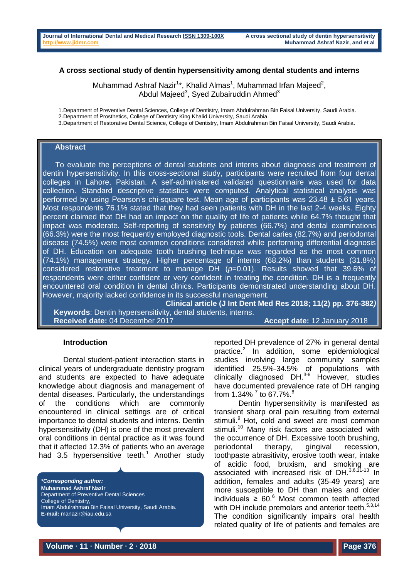### **A cross sectional study of dentin hypersensitivity among dental students and interns**

Muhammad Ashraf Nazir<sup>1\*</sup>, Khalid Almas<sup>1</sup>, Muhammad Irfan Majeed<sup>2</sup>, Abdul Majeed<sup>3</sup>, Syed Zubairuddin Ahmed<sup>3</sup>

1.Department of Preventive Dental Sciences, College of Dentistry, Imam Abdulrahman Bin Faisal University, Saudi Arabia.

2.Department of Prosthetics, College of Dentistry King Khalid University, Saudi Arabia.

3.Department of Restorative Dental Science, College of Dentistry, Imam Abdulrahman Bin Faisal University, Saudi Arabia.

# **Abstract**

 To evaluate the perceptions of dental students and interns about diagnosis and treatment of dentin hypersensitivity. In this cross-sectional study, participants were recruited from four dental colleges in Lahore, Pakistan. A self-administered validated questionnaire was used for data collection. Standard descriptive statistics were computed. Analytical statistical analysis was performed by using Pearson's chi-square test. Mean age of participants was 23.48 ± 5.61 years. Most respondents 76.1% stated that they had seen patients with DH in the last 2-4 weeks. Eighty percent claimed that DH had an impact on the quality of life of patients while 64.7% thought that impact was moderate. Self-reporting of sensitivity by patients (66.7%) and dental examinations (66.3%) were the most frequently employed diagnostic tools. Dental caries (82.7%) and periodontal disease (74.5%) were most common conditions considered while performing differential diagnosis of DH. Education on adequate tooth brushing technique was regarded as the most common (74.1%) management strategy. Higher percentage of interns (68.2%) than students (31.8%) considered restorative treatment to manage DH (*p*=0.01). Results showed that 39.6% of respondents were either confident or very confident in treating the condition. DH is a frequently encountered oral condition in dental clinics. Participants demonstrated understanding about DH. However, majority lacked confidence in its successful management.

**Clinical article (J Int Dent Med Res 2018; 11(2) pp. 376-382***)*  **Keywords**: Dentin hypersensitivity, dental students, interns. **Received date:** 04 December 2017 **Accept date:** 12 January 2018

#### **Introduction**

Dental student-patient interaction starts in clinical years of undergraduate dentistry program and students are expected to have adequate knowledge about diagnosis and management of dental diseases. Particularly, the understandings of the conditions which are commonly encountered in clinical settings are of critical importance to dental students and interns. Dentin hypersensitivity (DH) is one of the most prevalent oral conditions in dental practice as it was found that it affected 12.3% of patients who an average had 3[.](#page-5-0)5 hypersensitive teeth.<sup>1</sup> Another study

*\*Corresponding author:* **Muhammad Ashraf Nazir** Department of Preventive Dental Sciences College of Dentistry. Imam Abdulrahman Bin Faisal University, Saudi Arabia. **E-mail:** manazir@iau.edu.sa

reported DH prevalence of 27% in general dental practice[.](#page-5-1)<sup>2</sup> In addition, some epidemiological studies involving large community samples identified 25.5%-34.5% of populations with clinically diagnosed  $DH^{3-6}$  $DH^{3-6}$  $DH^{3-6}$  However, studies have documented prevalence rate of DH ranging from 1[.](#page-5-4)34%  $^{7}$  $^{7}$  $^{7}$  to 67.7%.<sup>8</sup>

Dentin hypersensitivity is manifested as transient sharp oral pain resulting from external stimuli.<sup>[9](#page-5-5)</sup> Hot, cold and sweet are most common stimuli.<sup>[10](#page-5-6)</sup> Many risk factors are associated with the occurrence of DH. Excessive tooth brushing, periodontal therapy, gingival recession, toothpaste abrasitivity, erosive tooth wear, intake of acidic food, bruxism, and smoking are associated with increased risk of DH. $3,6,17-13$  $3,6,17-13$  $3,6,17-13$  In addition, females and adults (35-49 years) are more susceptible to DH than males and older individuals  $\geq 60.6$  $\geq 60.6$  $\geq 60.6$  Most common teeth affected with DH include premolars and anterior teeth.<sup>[5](#page-5-9)[,3](#page-5-2)[,14](#page-5-10)</sup> The condition significantly impairs oral health related quality of life of patients and females are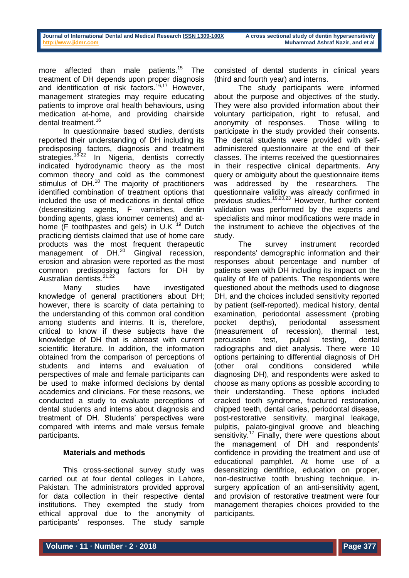more affected than male patients.<sup>[15](#page-5-11)</sup> The treatment of DH depends upon proper diagnosis and identification of risk factors.<sup>[16,](#page-5-12)[17](#page-5-13)</sup> However. management strategies may require educating patients to improve oral health behaviours, using medication at-home, and providing chairside dental treatment.<sup>[16](#page-5-12)</sup>

In questionnaire based studies, dentists reported their understanding of DH including its predisposing factors, diagnosis and treatment strategies.<sup>[18-22](#page-5-14)</sup> In Nigeria, dentists correctly indicated hydrodynamic theory as the most common theory and cold as the commonest stimulus of DH.<sup>[18](#page-5-14)</sup> The majority of practitioners identified combination of treatment options that included the use of medications in dental office (desensitizing agents, F varnishes, dentin bonding agents, glass ionomer cements) and athome (F toothpastes and gels) in U.K  $19$  Dutch practicing dentists claimed that use of home care products was the most frequent therapeutic management of DH.<sup>[20](#page-6-1)</sup> Gingival recession, erosion and abrasion were reported as the most common predisposing factors for DH by Australian dentists.<sup>[21,](#page-6-2)[22](#page-6-3)</sup>

Many studies have investigated knowledge of general practitioners about DH; however, there is scarcity of data pertaining to the understanding of this common oral condition among students and interns. It is, therefore, critical to know if these subjects have the knowledge of DH that is abreast with current scientific literature. In addition, the information obtained from the comparison of perceptions of students and interns and evaluation of perspectives of male and female participants can be used to make informed decisions by dental academics and clinicians. For these reasons, we conducted a study to evaluate perceptions of dental students and interns about diagnosis and treatment of DH. Students' perspectives were compared with interns and male versus female participants.

# **Materials and methods**

This cross-sectional survey study was carried out at four dental colleges in Lahore, Pakistan. The administrators provided approval for data collection in their respective dental institutions. They exempted the study from ethical approval due to the anonymity of participants' responses. The study sample

consisted of dental students in clinical years (third and fourth year) and interns.

The study participants were informed about the purpose and objectives of the study. They were also provided information about their voluntary participation, right to refusal, and anonymity of responses. Those willing to participate in the study provided their consents. The dental students were provided with selfadministered questionnaire at the end of their classes. The interns received the questionnaires in their respective clinical departments. Any query or ambiguity about the questionnaire items was addressed by the researchers. The questionnaire validity was already confirmed in previous studies.[19](#page-6-0)[,20,](#page-6-1)[23](#page-6-4) However, further content validation was performed by the experts and specialists and minor modifications were made in the instrument to achieve the objectives of the study.

The survey instrument recorded respondents' demographic information and their responses about percentage and number of patients seen with DH including its impact on the quality of life of patients. The respondents were questioned about the methods used to diagnose DH, and the choices included sensitivity reported by patient (self-reported), medical history, dental examination, periodontal assessment (probing pocket depths), periodontal assessment (measurement of recession), thermal test, percussion test, pulpal testing, dental radiographs and diet analysis. There were 10 options pertaining to differential diagnosis of DH (other oral conditions considered while diagnosing DH), and respondents were asked to choose as many options as possible according to their understanding. These options included cracked tooth syndrome, fractured restoration, chipped teeth, dental caries, periodontal disease, post-restorative sensitivity, marginal leakage, pulpitis, palato-gingival groove and bleaching sensitivity.<sup>[17](#page-5-13)</sup> Finally, there were questions about the management of DH and respondents' confidence in providing the treatment and use of educational pamphlet. At home use of a desensitizing dentifrice, education on proper, non-destructive tooth brushing technique, insurgery application of an anti-sensitivity agent, and provision of restorative treatment were four management therapies choices provided to the participants.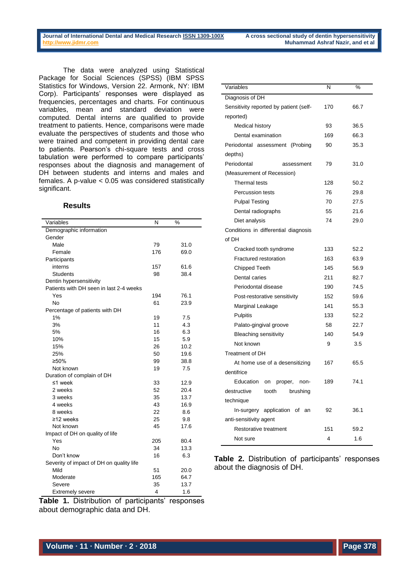The data were analyzed using Statistical Package for Social Sciences (SPSS) (IBM SPSS Statistics for Windows, Version 22. Armonk, NY: IBM Corp). Participants' responses were displayed as frequencies, percentages and charts. For continuous variables, mean and standard deviation were computed. Dental interns are qualified to provide treatment to patients. Hence, comparisons were made evaluate the perspectives of students and those who were trained and competent in providing dental care to patients. Pearson's chi-square tests and cross tabulation were performed to compare participants' responses about the diagnosis and management of DH between students and interns and males and females. A p-value < 0.05 was considered statistically significant.

#### **Results**

| Variables                                | N   | %    |
|------------------------------------------|-----|------|
| Demographic information                  |     |      |
| Gender                                   |     |      |
| Male                                     | 79  | 31.0 |
| Female                                   | 176 | 69.0 |
| Participants                             |     |      |
| interns                                  | 157 | 61.6 |
| <b>Students</b>                          | 98  | 38.4 |
| Dentin hypersensitivity                  |     |      |
| Patients with DH seen in last 2-4 weeks  |     |      |
| Yes                                      | 194 | 76.1 |
| No                                       | 61  | 23.9 |
| Percentage of patients with DH           |     |      |
| 1%                                       | 19  | 7.5  |
| 3%                                       | 11  | 4.3  |
| 5%                                       | 16  | 6.3  |
| 10%                                      | 15  | 5.9  |
| 15%                                      | 26  | 10.2 |
| 25%                                      | 50  | 19.6 |
| ≥50%                                     | 99  | 38.8 |
| Not known                                | 19  | 7.5  |
| Duration of complain of DH               |     |      |
| ≤1 week                                  | 33  | 12.9 |
| 2 weeks                                  | 52  | 20.4 |
| 3 weeks                                  | 35  | 13.7 |
| 4 weeks                                  | 43  | 16.9 |
| 8 weeks                                  | 22  | 8.6  |
| $\geq$ 12 weeks                          | 25  | 9.8  |
| Not known                                | 45  | 17.6 |
| Impact of DH on quality of life          |     |      |
| Yes                                      | 205 | 80.4 |
| No                                       | 34  | 13.3 |
| Don't know                               | 16  | 6.3  |
| Severity of impact of DH on quality life |     |      |
| Mild                                     | 51  | 20.0 |
| Moderate                                 | 165 | 64.7 |
| Severe                                   | 35  | 13.7 |
| <b>Extremely severe</b>                  | 4   | 1.6  |

| Variables                              | N   | %    |  |  |  |  |  |  |
|----------------------------------------|-----|------|--|--|--|--|--|--|
| Diagnosis of DH                        |     |      |  |  |  |  |  |  |
| Sensitivity reported by patient (self- | 170 | 66.7 |  |  |  |  |  |  |
| reported)                              |     |      |  |  |  |  |  |  |
| Medical history                        | 93  | 36.5 |  |  |  |  |  |  |
| Dental examination                     | 169 | 66.3 |  |  |  |  |  |  |
| Periodontal assessment<br>(Probing     | 90  | 35.3 |  |  |  |  |  |  |
| depths)                                |     |      |  |  |  |  |  |  |
| Periodontal<br>assessment              | 79  | 31.0 |  |  |  |  |  |  |
| (Measurement of Recession)             |     |      |  |  |  |  |  |  |
| Thermal tests                          | 128 | 50.2 |  |  |  |  |  |  |
| <b>Percussion tests</b>                | 76  | 29.8 |  |  |  |  |  |  |
| <b>Pulpal Testing</b>                  | 70  | 27.5 |  |  |  |  |  |  |
| Dental radiographs                     | 55  | 21.6 |  |  |  |  |  |  |
| Diet analysis                          | 74  | 29.0 |  |  |  |  |  |  |
| Conditions in differential diagnosis   |     |      |  |  |  |  |  |  |
| of DH                                  |     |      |  |  |  |  |  |  |
| Cracked tooth syndrome                 | 133 | 52.2 |  |  |  |  |  |  |
| Fractured restoration                  | 163 | 63.9 |  |  |  |  |  |  |
| <b>Chipped Teeth</b>                   | 145 | 56.9 |  |  |  |  |  |  |
| Dental caries                          | 211 | 82.7 |  |  |  |  |  |  |
| Periodontal disease                    | 190 | 74.5 |  |  |  |  |  |  |
| Post-restorative sensitivity           | 152 | 59.6 |  |  |  |  |  |  |
| Marginal Leakage                       | 141 | 55.3 |  |  |  |  |  |  |
| Pulpitis                               | 133 | 52.2 |  |  |  |  |  |  |
| Palato-gingival groove                 | 58  | 22.7 |  |  |  |  |  |  |
| <b>Bleaching sensitivity</b>           | 140 | 54.9 |  |  |  |  |  |  |
| Not known                              | 9   | 3.5  |  |  |  |  |  |  |
| Treatment of DH                        |     |      |  |  |  |  |  |  |
| At home use of a desensitizing         | 167 | 65.5 |  |  |  |  |  |  |
| dentifrice                             |     |      |  |  |  |  |  |  |
| Education<br>proper,<br>non-<br>on     | 189 | 74.1 |  |  |  |  |  |  |
| destructive<br>tooth<br>brushing       |     |      |  |  |  |  |  |  |
| technique                              |     |      |  |  |  |  |  |  |
| In-surgery application of an           | 92  | 36.1 |  |  |  |  |  |  |
| anti-sensitivity agent                 |     |      |  |  |  |  |  |  |
| <b>Restorative treatment</b>           | 151 | 59.2 |  |  |  |  |  |  |
| Not sure                               | 4   | 1.6  |  |  |  |  |  |  |

**Table 2.** Distribution of participants' responses about the diagnosis of DH.

**Table 1.** Distribution of participants' responses about demographic data and DH.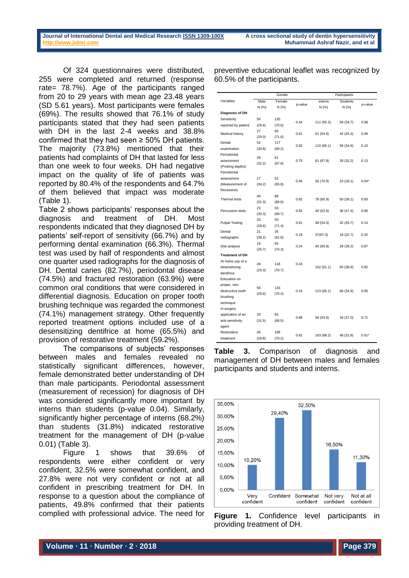Of 324 questionnaires were distributed, 255 were completed and returned (response rate= 78.7%). Age of the participants ranged from 20 to 29 years with mean age 23.48 years (SD 5.61 years). Most participants were females (69%). The results showed that 76.1% of study participants stated that they had seen patients with DH in the last 2-4 weeks and 38.8% confirmed that they had seen  $\geq$  50% DH patients. The majority (73.8%) mentioned that their patients had complaints of DH that lasted for less than one week to four weeks. DH had negative impact on the quality of life of patients was reported by 80.4% of the respondents and 64.7% of them believed that impact was moderate (Table 1).

Table 2 shows participants' responses about the diagnosis and treatment of DH. Most respondents indicated that they diagnosed DH by patients' self-report of sensitivity (66.7%) and by performing dental examination (66.3%). Thermal test was used by half of respondents and almost one quarter used radiographs for the diagnosis of DH. Dental caries (82.7%), periodontal disease (74.5%) and fractured restoration (63.9%) were common oral conditions that were considered in differential diagnosis. Education on proper tooth brushing technique was regarded the commonest (74.1%) management strategy. Other frequently reported treatment options included use of a desensitizing dentifrice at home (65.5%) and provision of restorative treatment (59.2%).

The comparisons of subjects' responses between males and females revealed no statistically significant differences, however, female demonstrated better understanding of DH than male participants. Periodontal assessment (measurement of recession) for diagnosis of DH was considered significantly more important by interns than students (p-value 0.04). Similarly, significantly higher percentage of interns (68.2%) than students (31.8%) indicated restorative treatment for the management of DH (p-value 0.01) (Table 3).

Figure 1 shows that 39.6% of respondents were either confident or very confident, 32.5% were somewhat confident, and 27.8% were not very confident or not at all confident in prescribing treatment for DH. In response to a question about the compliance of patients, 49.8% confirmed that their patients complied with professional advice. The need for

preventive educational leaflet was recognized by 60.5% of the participants.

|                        | Gender |        |         | Participants               |           |         |
|------------------------|--------|--------|---------|----------------------------|-----------|---------|
| Variables              | Male   | Female | p-value | <b>Students</b><br>interns |           |         |
|                        | N (%)  | N(%    |         | N (%)                      | N(% )     | p-value |
| Diagnosis of DH        |        |        |         |                            |           |         |
| Sensitivity            | 50     | 120    | 0.44    |                            | 59 (34.7) | 0.08    |
| reported by patient    | (29.4) | (70.6) |         | 111 (65.3)                 |           |         |
| Medical history        | 27     | 66     | 0.61    | 51 (54.8)                  | 42 (45.2) | 0.09    |
|                        | (29.0) | (71.0) |         |                            |           |         |
| Dental                 | 52     | 117    | 0.92    | 110 (65.1)                 | 59 (34.9) | 0.10    |
| examination            | (30.8) | (69.2) |         |                            |           |         |
| Periodontal            | 29     | 61     |         |                            |           |         |
| assessment             | (32.2) | (67.8) | 0.75    | 61 (67.8)                  | 29 (32.2) | 0.13    |
| (Probing depths)       |        |        |         |                            |           |         |
| Periodontal            |        |        |         |                            |           |         |
| assessment             | 27     | 52     | 0.46    |                            | 23 (29.1) | $0.04*$ |
| (Measurement of        | (34.2) | (65.8) |         | 56 (70.9)                  |           |         |
| Recession)             |        |        |         |                            |           |         |
| Thermal tests          | 40     | 88     | 0.92    |                            | 50 (39.1) | 0.83    |
|                        | (31.3) | (68.8) |         | 78 (60.9)                  |           |         |
| Percussion tests       | 23     | 53     |         | 40 (52.6)                  | 36 (47.4) | 0.06    |
|                        | (30.3) | (69.7) | 0.92    |                            |           |         |
|                        | 20     | 50     | 0.61    |                            | 32 (45.7) | 0.14    |
| <b>Pulpal Testing</b>  | (28.6) | (71.4) |         | 38 (54.3)                  |           |         |
| Dental                 | 21     | 34     | 0.19    | 37(67.3)                   | 18 (32.7) | 0.32    |
| radiographs            | (38.2) | (61.8) |         |                            |           |         |
| Diet analysis          | 19     | 55     | 0.24    | 45 (60.8)                  | 29 (39.2) | 0.87    |
|                        | (25.7) | (74.3) |         |                            |           |         |
| <b>Treatment of DH</b> |        |        |         |                            |           |         |
| At home use of a       | 49     | 118    | 0.43    | 102(61.1)                  | 65 (38.9) | 0.82    |
| desensitizing          | (29.3) | (70.7) |         |                            |           |         |
| dentifrice             |        |        |         |                            |           |         |
| Education on           |        |        |         |                            |           |         |
| proper, non-           | 56     | 133    |         |                            |           |         |
| destructive tooth      | (29.6) | (70.4) | 0.43    | 123 (65.1)                 | 66 (34.9) | 0.05    |
| brushing               |        |        |         |                            |           |         |
| technique              |        |        |         |                            |           |         |
| In-surgery             |        |        |         |                            |           |         |
| application of an      | 29     | 63     | 0.88    | 58 (63.0)                  | 34 (37.0) | 0.71    |
| anti-sensitivity       | (31.5) | (68.5) |         |                            |           |         |
| agent                  |        |        |         |                            |           |         |
| Restorative            | 45     | 106    |         | 103 (68.2)                 | 48 (31.8) | $0.01*$ |
| treatment              | (29.8) | (70.2) | 0.62    |                            |           |         |





**Figure 1.** Confidence level participants in providing treatment of DH.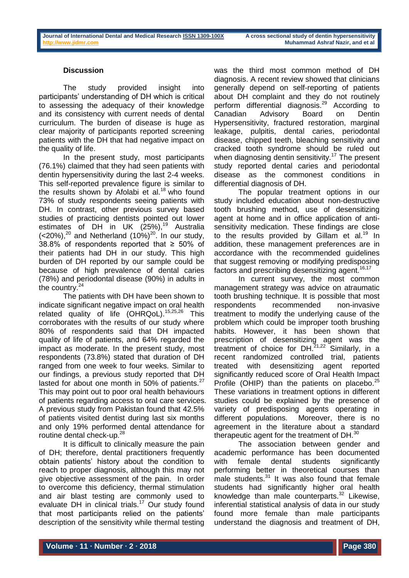# **Discussion**

The study provided insight into participants' understanding of DH which is critical to assessing the adequacy of their knowledge and its consistency with current needs of dental curriculum. The burden of disease is huge as clear majority of participants reported screening patients with the DH that had negative impact on the quality of life.

In the present study, most participants (76.1%) claimed that they had seen patients with dentin hypersensitivity during the last 2-4 weeks. This self-reported prevalence figure is similar to the results shown by Afolabi et al.<sup>18</sup> who found 73% of study respondents seeing patients with DH. In contrast, other previous survey based studies of practicing dentists pointed out lower estimates of DH in UK  $(25\%)$ ,<sup>[19](#page-6-0)</sup> Australia  $(<$ [20](#page-6-1)%),<sup>20</sup> and Netherland  $(10%)^{20}$ . In our study, 38.8% of respondents reported that ≥ 50% of their patients had DH in our study. This high burden of DH reported by our sample could be because of high prevalence of dental caries (78%) and periodontal disease (90%) in adults in the country.<sup>[24](#page-6-5)</sup>

The patients with DH have been shown to indicate significant negative impact on oral health related quality of life (OHRQoL).<sup>[15,](#page-5-11)[25,](#page-6-6)[26](#page-6-7)</sup> This corroborates with the results of our study where 80% of respondents said that DH impacted quality of life of patients, and 64% regarded the impact as moderate. In the present study, most respondents (73.8%) stated that duration of DH ranged from one week to four weeks. Similar to our findings, a previous study reported that DH lasted for about one month in 50% of patients. $27$ This may point out to poor oral health behaviours of patients regarding access to oral care services. A previous study from Pakistan found that 42.5% of patients visited dentist during last six months and only 19% performed dental attendance for routine dental check-up.<sup>[28](#page-6-9)</sup>

It is difficult to clinically measure the pain of DH; therefore, dental practitioners frequently obtain patients' history about the condition to reach to proper diagnosis, although this may not give objective assessment of the pain. In order to overcome this deficiency, thermal stimulation and air blast testing are commonly used to evaluate DH in clinical trials.<sup>[17](#page-5-13)</sup> Our study found that most participants relied on the patients' description of the sensitivity while thermal testing

was the third most common method of DH diagnosis. A recent review showed that clinicians generally depend on self-reporting of patients about DH complaint and they do not routinely perform differential diagnosis.<sup>[29](#page-6-10)</sup> According to Canadian Advisory Board on Dentin Hypersensitivity, fractured restoration, marginal leakage, pulpitis, dental caries, periodontal disease, chipped teeth, bleaching sensitivity and cracked tooth syndrome should be ruled out when diagnosing dentin sensitivity.<sup>[17](#page-5-13)</sup> The present study reported dental caries and periodontal disease as the commonest conditions in differential diagnosis of DH.

The popular treatment options in our study included education about non-destructive tooth brushing method, use of desensitizing agent at home and in office application of antisensitivity medication. These findings are close to the results provided by [Gillam et al.](#page-5-15)<sup>[19](#page-5-15)</sup> In addition, these management preferences are in accordance with the recommended guidelines that suggest removing or modifying predisposing factors and prescribing desensitizing agent.<sup>[16](#page-5-12)[,17](#page-5-13)</sup>

In current survey, the most common management strategy was advice on atraumatic tooth brushing technique. It is possible that most respondents recommended non-invasive treatment to modify the underlying cause of the problem which could be improper tooth brushing habits. However, it has been shown that prescription of desensitizing agent was the treatment of choice for  $DH<sup>21,22</sup>$  $DH<sup>21,22</sup>$  $DH<sup>21,22</sup>$  $DH<sup>21,22</sup>$  Similarly, in a recent randomized controlled trial, patients treated with desensitizing agent reported significantly reduced score of Oral Health Impact Profile (OHIP) than the patients on placebo. $25$ These variations in treatment options in different studies could be explained by the presence of variety of predisposing agents operating in different populations. Moreover, there is no agreement in the literature about a standard therapeutic agent for the treatment of DH.<sup>[30](#page-6-11)</sup>

The association between gender and academic performance has been documented with female dental students significantly performing better in theoretical courses than male students. $31$  It was also found that female students had significantly higher oral health knowledge than male counterparts.<sup>[32](#page-6-13)</sup> Likewise, inferential statistical analysis of data in our study found more female than male participants understand the diagnosis and treatment of DH,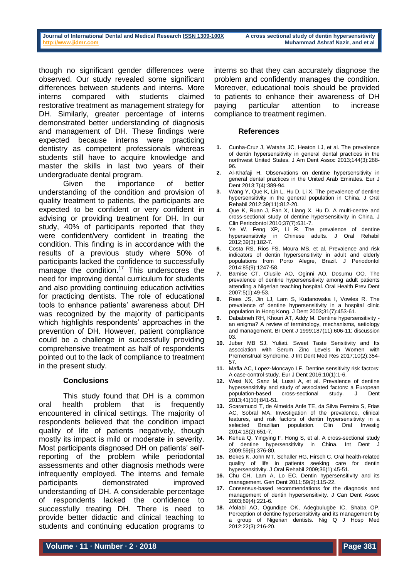though no significant gender differences were observed. Our study revealed some significant differences between students and interns. More interns compared with students claimed restorative treatment as management strategy for DH. Similarly, greater percentage of interns demonstrated better understanding of diagnosis and management of DH. These findings were expected because interns were practicing dentistry as competent professionals whereas students still have to acquire knowledge and master the skills in last two years of their undergraduate dental program.

Given the importance of better understanding of the condition and provision of quality treatment to patients, the participants are expected to be confident or very confident in advising or providing treatment for DH. In our study, 40% of participants reported that they were confident/very confident in treating the condition. This finding is in accordance with the results of a previous study where 50% of participants lacked the confidence to successfully manage the condition.<sup>[17](#page-5-13)</sup> This underscores the need for improving dental curriculum for students and also providing continuing education activities for practicing dentists. The role of educational tools to enhance patients' awareness about DH was recognized by the majority of participants which highlights respondents' approaches in the prevention of DH. However, patient compliance could be a challenge in successfully providing comprehensive treatment as half of respondents pointed out to the lack of compliance to treatment in the present study.

# **Conclusions**

This study found that DH is a common oral health problem that is frequently encountered in clinical settings. The majority of respondents believed that the condition impact quality of life of patients negatively, though mostly its impact is mild or moderate in severity. Most participants diagnosed DH on patients' selfreporting of the problem while periodontal assessments and other diagnosis methods were infrequently employed. The interns and female participants demonstrated improved understanding of DH. A considerable percentage of respondents lacked the confidence to successfully treating DH. There is need to provide better didactic and clinical teaching to students and continuing education programs to

interns so that they can accurately diagnose the problem and confidently manages the condition. Moreover, educational tools should be provided to patients to enhance their awareness of DH paying particular attention to increase compliance to treatment regimen.

### **References**

- <span id="page-5-0"></span>**1.** Cunha-Cruz J, Wataha JC, Heaton LJ, et al. The prevalence of dentin hypersensitivity in general dental practices in the northwest United States. J Am Dent Assoc 2013;144(3):288- 96.
- <span id="page-5-1"></span>**2.** Al-Khafaji H. Observations on dentine hypersensitivity in general dental practices in the United Arab Emirates. Eur J Dent 2013:7(4):389-94.
- <span id="page-5-2"></span>**3.** Wang Y, Que K, Lin L, Hu D, Li X. The prevalence of dentine hypersensitivity in the general population in China. J Oral Rehabil 2012;39(11):812-20.
- **4.** Que K, Ruan J, Fan X, Liang X, Hu D. A multi-centre and cross-sectional study of dentine hypersensitivity in China. J Clin Periodontol 2010;37(7):631-7.
- <span id="page-5-9"></span>Ye W, Feng XP, Li R. The prevalence of dentine hypersensitivity in Chinese adults. J Oral Rehabil 2012;39(3):182-7.
- <span id="page-5-7"></span>**6.** Costa RS, Rios FS, Moura MS, et al. Prevalence and risk indicators of dentin hypersensitivity in adult and elderly populations from Porto Alegre, Brazil. J Periodontol 2014;85(9):1247-58.
- <span id="page-5-3"></span>**7.** Bamise CT, Olusile AO, Oginni AO, Dosumu OO. The prevalence of dentine hypersensitivity among adult patients attending a Nigerian teaching hospital. Oral Health Prev Dent 2007;5(1):49-53.
- <span id="page-5-4"></span>**8.** Rees JS, Jin LJ, Lam S, Kudanowska I, Vowles R. The prevalence of dentine hypersensitivity in a hospital clinic population in Hong Kong. J Dent 2003;31(7):453-61.
- <span id="page-5-5"></span>**9.** Dababneh RH, Khouri AT, Addy M. Dentine hypersensitivity an enigma? A review of terminology, mechanisms, aetiology and management. Br Dent J 1999;187(11):606-11; discussion 03.
- <span id="page-5-6"></span>**10.** Juber MB SJ, Yuliati. Sweet Taste Sensitivity and Its association with Serum Zinc Levels in Women with Premenstrual Syndrome. J Int Dent Med Res 2017;10(2):354- 57.
- <span id="page-5-8"></span>**11.** Mafla AC, Lopez-Moncayo LF. Dentine sensitivity risk factors: A case-control study. Eur J Dent 2016;10(1):1-6.
- <span id="page-5-15"></span>**12.** West NX, Sanz M, Lussi A, et al. Prevalence of dentine hypersensitivity and study of associated factors: a European population-based cross-sectional study. J Dent 2013;41(10):841-51.
- **13.** Scaramucci T, de Almeida Anfe TE, da Silva Ferreira S, Frias AC, Sobral MA. Investigation of the prevalence, clinical features, and risk factors of dentin hypersensitivity in a selected Brazilian population. Clin Oral Investig selected Brazilian population. Clin Oral Investig 2014;18(2):651-7.
- <span id="page-5-10"></span>**14.** Kehua Q, Yingying F, Hong S, et al. A cross-sectional study of dentine hypersensitivity in China. Int Dent 2009;59(6):376-80.
- <span id="page-5-11"></span>**15.** Bekes K, John MT, Schaller HG, Hirsch C. Oral health-related quality of life in patients seeking care for dentin hypersensitivity. J Oral Rehabil 2009;36(1):45-51.
- <span id="page-5-12"></span>**16.** Chu CH, Lam A, Lo EC. Dentin hypersensitivity and its management. Gen Dent 2011;59(2):115-22.
- <span id="page-5-13"></span>**17.** Consensus-based recommendations for the diagnosis and management of dentin hypersensitivity. J Can Dent Assoc 2003;69(4):221-6.
- <span id="page-5-14"></span>**18.** Afolabi AO, Ogundipe OK, Adegbulugbe IC, Shaba OP. Perception of dentine hypersensitivity and its management by a group of Nigerian dentists. Nig Q J Hosp Med 2012;22(3):216-20.